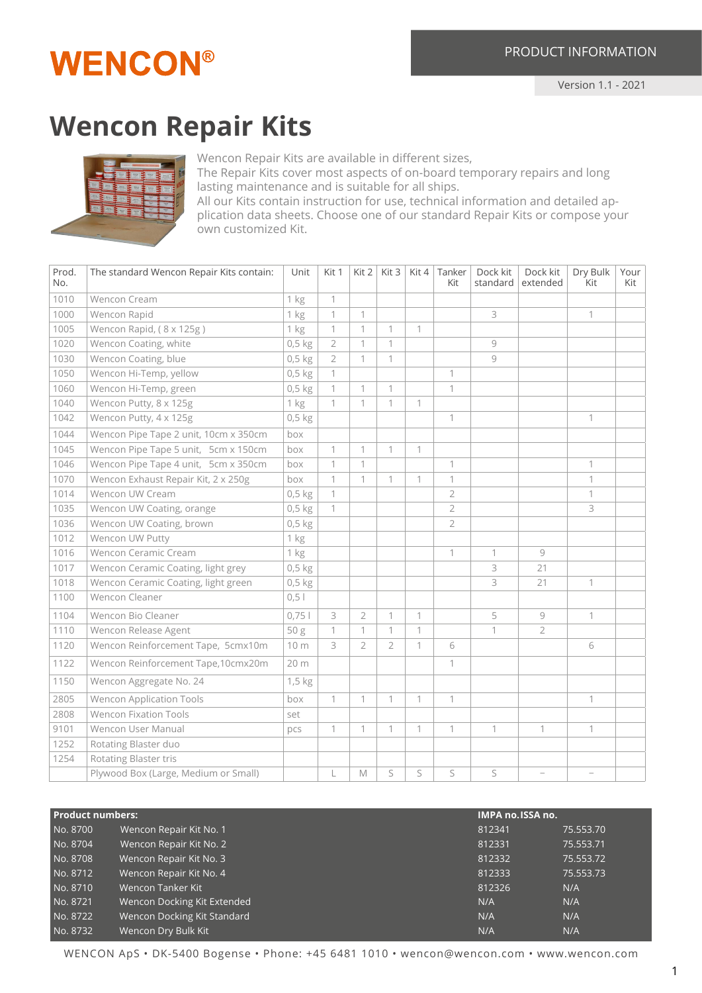## **WENCON®**

## **Wencon Repair Kits**



Wencon Repair Kits are available in different sizes,

The Repair Kits cover most aspects of on-board temporary repairs and long lasting maintenance and is suitable for all ships.

All our Kits contain instruction for use, technical information and detailed application data sheets. Choose one of our standard Repair Kits or compose your own customized Kit.

| Prod.<br>No. | The standard Wencon Repair Kits contain: | Unit     | Kit 1          | Kit 2          | Kit 3          | Kit 4        | Tanker<br>Kit  | Dock kit<br>standard | Dock kit<br>extended | Dry Bulk<br>Kit | Your<br>Kit |
|--------------|------------------------------------------|----------|----------------|----------------|----------------|--------------|----------------|----------------------|----------------------|-----------------|-------------|
| 1010         | Wencon Cream                             | 1 kg     | 1              |                |                |              |                |                      |                      |                 |             |
| 1000         | Wencon Rapid                             | 1 kg     | 1              | $\mathbf{1}$   |                |              |                | 3                    |                      | 1               |             |
| 1005         | Wencon Rapid, (8 x 125g)                 | 1 kg     | 1              | $\mathbf{1}$   | 1              | 1            |                |                      |                      |                 |             |
| 1020         | Wencon Coating, white                    | $0,5$ kg | $\overline{2}$ | 1              | 1              |              |                | $\circ$              |                      |                 |             |
| 1030         | Wencon Coating, blue                     | $0,5$ kg | $\overline{2}$ | $\mathbf 1$    | 1              |              |                | 9                    |                      |                 |             |
| 1050         | Wencon Hi-Temp, yellow                   | $0,5$ kg | 1              |                |                |              | $\mathbf{1}$   |                      |                      |                 |             |
| 1060         | Wencon Hi-Temp, green                    | $0,5$ kg | 1              | $\mathbf 1$    | 1              |              | $\mathbf{1}$   |                      |                      |                 |             |
| 1040         | Wencon Putty, 8 x 125g                   | 1 kg     | 1              | 1              | 1              | 1            |                |                      |                      |                 |             |
| 1042         | Wencon Putty, 4 x 125g                   | $0,5$ kg |                |                |                |              | 1              |                      |                      | $\mathbf{1}$    |             |
| 1044         | Wencon Pipe Tape 2 unit, 10cm x 350cm    | box      |                |                |                |              |                |                      |                      |                 |             |
| 1045         | Wencon Pipe Tape 5 unit, 5cm x 150cm     | box      | 1              | $\mathbf 1$    | 1              | $\mathbf{1}$ |                |                      |                      |                 |             |
| 1046         | Wencon Pipe Tape 4 unit, 5cm x 350cm     | box      | 1              | $\mathbf 1$    |                |              | $\mathbf{1}$   |                      |                      | 1               |             |
| 1070         | Wencon Exhaust Repair Kit, 2 x 250g      | box      | 1              | 1              | 1              | $\mathbf{1}$ | $\mathbf{1}$   |                      |                      | 1               |             |
| 1014         | Wencon UW Cream                          | $0,5$ kg | 1              |                |                |              | $\overline{2}$ |                      |                      | 1               |             |
| 1035         | Wencon UW Coating, orange                | $0,5$ kg | 1              |                |                |              | $\overline{2}$ |                      |                      | 3               |             |
| 1036         | Wencon UW Coating, brown                 | $0,5$ kg |                |                |                |              | $\overline{2}$ |                      |                      |                 |             |
| 1012         | Wencon UW Putty                          | 1 kg     |                |                |                |              |                |                      |                      |                 |             |
| 1016         | Wencon Ceramic Cream                     | 1 kg     |                |                |                |              | $\mathbf{1}$   | $\mathbf{1}$         | 9                    |                 |             |
| 1017         | Wencon Ceramic Coating, light grey       | $0,5$ kg |                |                |                |              |                | 3                    | 21                   |                 |             |
| 1018         | Wencon Ceramic Coating, light green      | $0,5$ kg |                |                |                |              |                | 3                    | 21                   | 1               |             |
| 1100         | Wencon Cleaner                           | $0, 5$   |                |                |                |              |                |                      |                      |                 |             |
| 1104         | Wencon Bio Cleaner                       | 0,751    | 3              | $\overline{2}$ | 1              | $\mathbf{1}$ |                | 5                    | 9                    | 1               |             |
| 1110         | Wencon Release Agent                     | 50g      | 1              | $\mathbf{1}$   | $\mathbf 1$    | $\mathbf{1}$ |                | 1                    | $\overline{2}$       |                 |             |
| 1120         | Wencon Reinforcement Tape, 5cmx10m       | 10 m     | 3              | $\overline{2}$ | $\overline{2}$ | $\mathbf{1}$ | 6              |                      |                      | 6               |             |
| 1122         | Wencon Reinforcement Tape,10cmx20m       | 20 m     |                |                |                |              | 1              |                      |                      |                 |             |
| 1150         | Wencon Aggregate No. 24                  | 1,5 kg   |                |                |                |              |                |                      |                      |                 |             |
| 2805         | <b>Wencon Application Tools</b>          | box      | $\mathbf{1}$   | $\mathbf{1}$   | 1              | $\mathbf{1}$ | $\mathbf 1$    |                      |                      | 1               |             |
| 2808         | <b>Wencon Fixation Tools</b>             | set      |                |                |                |              |                |                      |                      |                 |             |
| 9101         | Wencon User Manual                       | pcs      | $\mathbf{1}$   | $\mathbf{1}$   | 1              | $\mathbf{1}$ | $\mathbf{1}$   | $\mathbf{1}$         | 1                    | $\mathbf 1$     |             |
| 1252         | Rotating Blaster duo                     |          |                |                |                |              |                |                      |                      |                 |             |
| 1254         | Rotating Blaster tris                    |          |                |                |                |              |                |                      |                      |                 |             |
|              | Plywood Box (Large, Medium or Small)     |          | L              | M              | S              | S            | S              | S                    |                      |                 |             |

| <b>Product numbers:</b> |                             | IMPA no. ISSA no. |           |
|-------------------------|-----------------------------|-------------------|-----------|
| No. 8700                | Wencon Repair Kit No. 1     | 812341            | 75.553.70 |
| No. 8704                | Wencon Repair Kit No. 2     | 812331            | 75.553.71 |
| No. 8708                | Wencon Repair Kit No. 3     | 812332            | 75.553.72 |
| No. 8712                | Wencon Repair Kit No. 4     | 812333            | 75.553.73 |
| No. 8710                | Wencon Tanker Kit           | 812326            | N/A       |
| No. 8721                | Wencon Docking Kit Extended | N/A               | N/A       |
| No. 8722                | Wencon Docking Kit Standard | N/A               | N/A       |
| No. 8732                | Wencon Dry Bulk Kit         | N/A               | N/A       |

WENCON ApS • DK-5400 Bogense • Phone: +45 6481 1010 • wencon@wencon.com • www.wencon.com